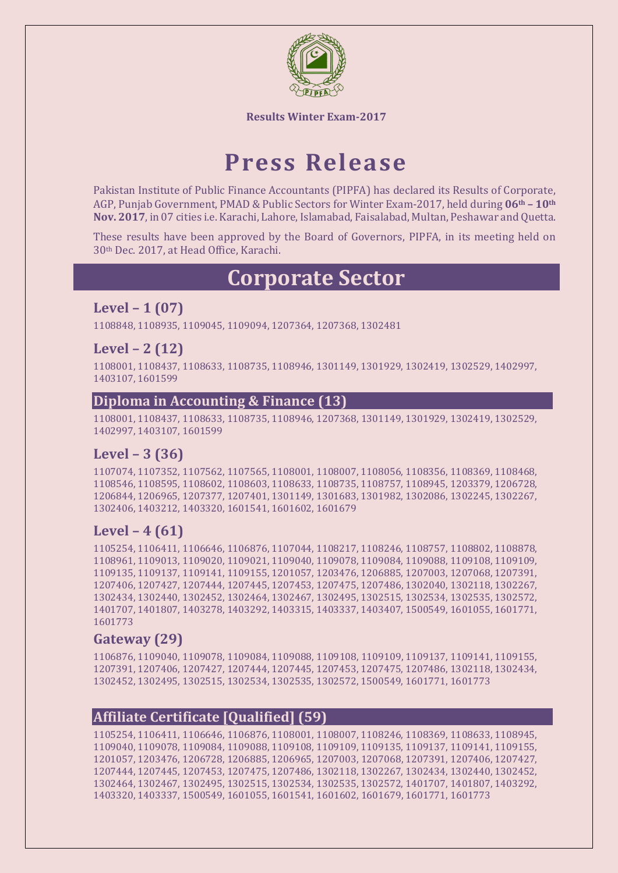

# **Press Release**

Pakistan Institute of Public Finance Accountants (PIPFA) has declared its Results of Corporate, AGP, Punjab Government, PMAD & Public Sectors for Winter Exam-2017, held during **06th – 10th Nov. 2017**, in 07 cities i.e. Karachi, Lahore, Islamabad, Faisalabad, Multan, Peshawar and Quetta.

These results have been approved by the Board of Governors, PIPFA, in its meeting held on 30th Dec. 2017, at Head Office, Karachi.

# **Corporate Sector**

## **Level – 1 (07)**

1108848, 1108935, 1109045, 1109094, 1207364, 1207368, 1302481

#### **Level – 2 (12)**

1108001, 1108437, 1108633, 1108735, 1108946, 1301149, 1301929, 1302419, 1302529, 1402997, 1403107, 1601599

#### **Diploma in Accounting & Finance (13)**

1108001, 1108437, 1108633, 1108735, 1108946, 1207368, 1301149, 1301929, 1302419, 1302529, 1402997, 1403107, 1601599

#### **Level – 3 (36)**

1107074, 1107352, 1107562, 1107565, 1108001, 1108007, 1108056, 1108356, 1108369, 1108468, 1108546, 1108595, 1108602, 1108603, 1108633, 1108735, 1108757, 1108945, 1203379, 1206728, 1206844, 1206965, 1207377, 1207401, 1301149, 1301683, 1301982, 1302086, 1302245, 1302267, 1302406, 1403212, 1403320, 1601541, 1601602, 1601679

#### **Level – 4 (61)**

1105254, 1106411, 1106646, 1106876, 1107044, 1108217, 1108246, 1108757, 1108802, 1108878, 1108961, 1109013, 1109020, 1109021, 1109040, 1109078, 1109084, 1109088, 1109108, 1109109, 1109135, 1109137, 1109141, 1109155, 1201057, 1203476, 1206885, 1207003, 1207068, 1207391, 1207406, 1207427, 1207444, 1207445, 1207453, 1207475, 1207486, 1302040, 1302118, 1302267, 1302434, 1302440, 1302452, 1302464, 1302467, 1302495, 1302515, 1302534, 1302535, 1302572, 1401707, 1401807, 1403278, 1403292, 1403315, 1403337, 1403407, 1500549, 1601055, 1601771, 1601773

#### **Gateway (29)**

1106876, 1109040, 1109078, 1109084, 1109088, 1109108, 1109109, 1109137, 1109141, 1109155, 1207391, 1207406, 1207427, 1207444, 1207445, 1207453, 1207475, 1207486, 1302118, 1302434, 1302452, 1302495, 1302515, 1302534, 1302535, 1302572, 1500549, 1601771, 1601773

#### **Affiliate Certificate [Qualified] (59)**

1105254, 1106411, 1106646, 1106876, 1108001, 1108007, 1108246, 1108369, 1108633, 1108945, 1109040, 1109078, 1109084, 1109088, 1109108, 1109109, 1109135, 1109137, 1109141, 1109155, 1201057, 1203476, 1206728, 1206885, 1206965, 1207003, 1207068, 1207391, 1207406, 1207427, 1207444, 1207445, 1207453, 1207475, 1207486, 1302118, 1302267, 1302434, 1302440, 1302452, 1302464, 1302467, 1302495, 1302515, 1302534, 1302535, 1302572, 1401707, 1401807, 1403292, 1403320, 1403337, 1500549, 1601055, 1601541, 1601602, 1601679, 1601771, 1601773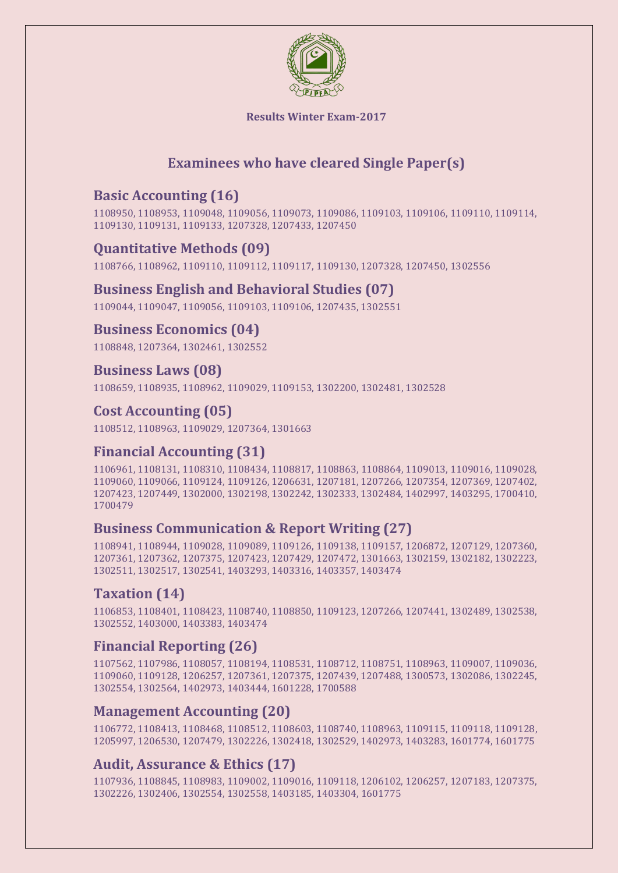

# **Examinees who have cleared Single Paper(s)**

# **Basic Accounting (16)**

1108950, 1108953, 1109048, 1109056, 1109073, 1109086, 1109103, 1109106, 1109110, 1109114, 1109130, 1109131, 1109133, 1207328, 1207433, 1207450

## **Quantitative Methods (09)**

1108766, 1108962, 1109110, 1109112, 1109117, 1109130, 1207328, 1207450, 1302556

#### **Business English and Behavioral Studies (07)**

1109044, 1109047, 1109056, 1109103, 1109106, 1207435, 1302551

#### **Business Economics (04)**

1108848, 1207364, 1302461, 1302552

#### **Business Laws (08)**

1108659, 1108935, 1108962, 1109029, 1109153, 1302200, 1302481, 1302528

## **Cost Accounting (05)**

1108512, 1108963, 1109029, 1207364, 1301663

#### **Financial Accounting (31)**

1106961, 1108131, 1108310, 1108434, 1108817, 1108863, 1108864, 1109013, 1109016, 1109028, 1109060, 1109066, 1109124, 1109126, 1206631, 1207181, 1207266, 1207354, 1207369, 1207402, 1207423, 1207449, 1302000, 1302198, 1302242, 1302333, 1302484, 1402997, 1403295, 1700410, 1700479

#### **Business Communication & Report Writing (27)**

1108941, 1108944, 1109028, 1109089, 1109126, 1109138, 1109157, 1206872, 1207129, 1207360, 1207361, 1207362, 1207375, 1207423, 1207429, 1207472, 1301663, 1302159, 1302182, 1302223, 1302511, 1302517, 1302541, 1403293, 1403316, 1403357, 1403474

# **Taxation (14)**

1106853, 1108401, 1108423, 1108740, 1108850, 1109123, 1207266, 1207441, 1302489, 1302538, 1302552, 1403000, 1403383, 1403474

#### **Financial Reporting (26)**

1107562, 1107986, 1108057, 1108194, 1108531, 1108712, 1108751, 1108963, 1109007, 1109036, 1109060, 1109128, 1206257, 1207361, 1207375, 1207439, 1207488, 1300573, 1302086, 1302245, 1302554, 1302564, 1402973, 1403444, 1601228, 1700588

#### **Management Accounting (20)**

1106772, 1108413, 1108468, 1108512, 1108603, 1108740, 1108963, 1109115, 1109118, 1109128, 1205997, 1206530, 1207479, 1302226, 1302418, 1302529, 1402973, 1403283, 1601774, 1601775

#### **Audit, Assurance & Ethics (17)**

1107936, 1108845, 1108983, 1109002, 1109016, 1109118, 1206102, 1206257, 1207183, 1207375, 1302226, 1302406, 1302554, 1302558, 1403185, 1403304, 1601775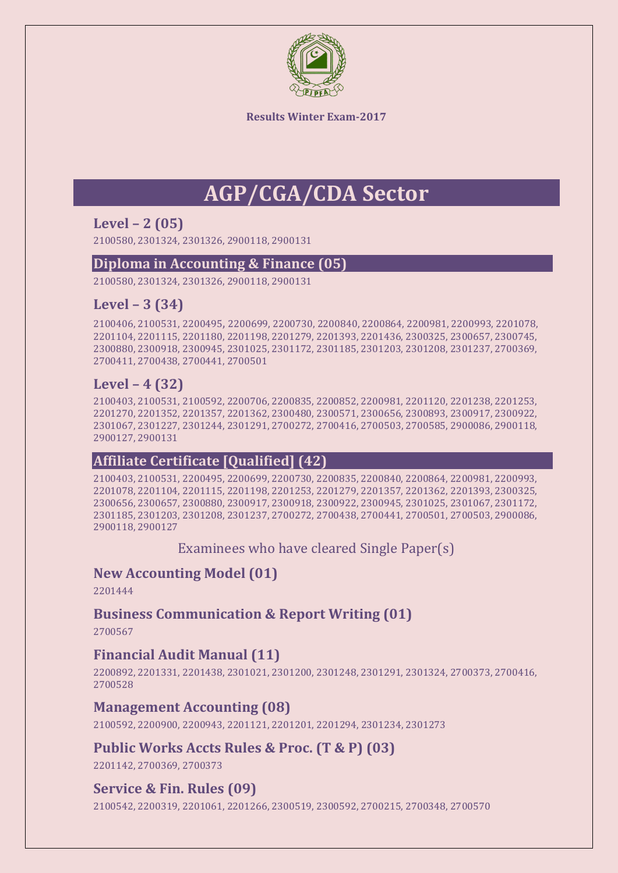

# **AGP/CGA/CDA Sector**

## **Level – 2 (05)**

2100580, 2301324, 2301326, 2900118, 2900131

#### **Diploma in Accounting & Finance (05)**

2100580, 2301324, 2301326, 2900118, 2900131

## **Level – 3 (34)**

2100406, 2100531, 2200495, 2200699, 2200730, 2200840, 2200864, 2200981, 2200993, 2201078, 2201104, 2201115, 2201180, 2201198, 2201279, 2201393, 2201436, 2300325, 2300657, 2300745, 2300880, 2300918, 2300945, 2301025, 2301172, 2301185, 2301203, 2301208, 2301237, 2700369, 2700411, 2700438, 2700441, 2700501

# **Level – 4 (32)**

2100403, 2100531, 2100592, 2200706, 2200835, 2200852, 2200981, 2201120, 2201238, 2201253, 2201270, 2201352, 2201357, 2201362, 2300480, 2300571, 2300656, 2300893, 2300917, 2300922, 2301067, 2301227, 2301244, 2301291, 2700272, 2700416, 2700503, 2700585, 2900086, 2900118, 2900127, 2900131

#### **Affiliate Certificate [Qualified] (42)**

2100403, 2100531, 2200495, 2200699, 2200730, 2200835, 2200840, 2200864, 2200981, 2200993, 2201078, 2201104, 2201115, 2201198, 2201253, 2201279, 2201357, 2201362, 2201393, 2300325, 2300656, 2300657, 2300880, 2300917, 2300918, 2300922, 2300945, 2301025, 2301067, 2301172, 2301185, 2301203, 2301208, 2301237, 2700272, 2700438, 2700441, 2700501, 2700503, 2900086, 2900118, 2900127

Examinees who have cleared Single Paper(s)

#### **New Accounting Model (01)**

2201444

#### **Business Communication & Report Writing (01)**

2700567

#### **Financial Audit Manual (11)**

2200892, 2201331, 2201438, 2301021, 2301200, 2301248, 2301291, 2301324, 2700373, 2700416, 2700528

#### **Management Accounting (08)**

2100592, 2200900, 2200943, 2201121, 2201201, 2201294, 2301234, 2301273

#### **Public Works Accts Rules & Proc. (T & P) (03)**

2201142, 2700369, 2700373

#### **Service & Fin. Rules (09)**

2100542, 2200319, 2201061, 2201266, 2300519, 2300592, 2700215, 2700348, 2700570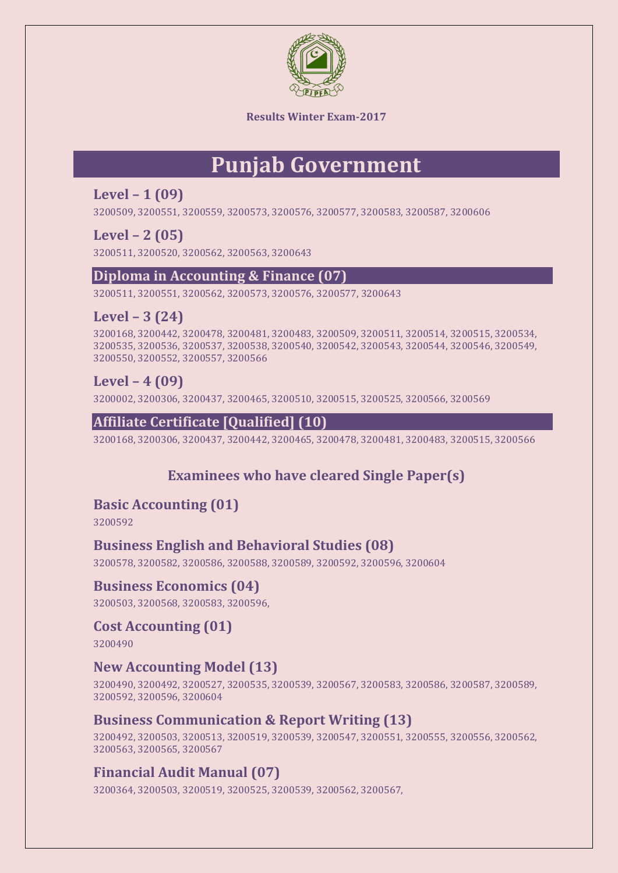

# **Punjab Government**

## **Level – 1 (09)**

3200509, 3200551, 3200559, 3200573, 3200576, 3200577, 3200583, 3200587, 3200606

## **Level – 2 (05)**

3200511, 3200520, 3200562, 3200563, 3200643

#### **Diploma in Accounting & Finance (07)**

3200511, 3200551, 3200562, 3200573, 3200576, 3200577, 3200643

# **Level – 3 (24)**

3200168, 3200442, 3200478, 3200481, 3200483, 3200509, 3200511, 3200514, 3200515, 3200534, 3200535, 3200536, 3200537, 3200538, 3200540, 3200542, 3200543, 3200544, 3200546, 3200549, 3200550, 3200552, 3200557, 3200566

## **Level – 4 (09)**

3200002, 3200306, 3200437, 3200465, 3200510, 3200515, 3200525, 3200566, 3200569

## **Affiliate Certificate [Qualified] (10)**

3200168, 3200306, 3200437, 3200442, 3200465, 3200478, 3200481, 3200483, 3200515, 3200566

# **Examinees who have cleared Single Paper(s)**

#### **Basic Accounting (01)**

3200592

#### **Business English and Behavioral Studies (08)**

3200578, 3200582, 3200586, 3200588, 3200589, 3200592, 3200596, 3200604

#### **Business Economics (04)**

3200503, 3200568, 3200583, 3200596,

# **Cost Accounting (01)**

3200490

#### **New Accounting Model (13)**

3200490, 3200492, 3200527, 3200535, 3200539, 3200567, 3200583, 3200586, 3200587, 3200589, 3200592, 3200596, 3200604

#### **Business Communication & Report Writing (13)**

3200492, 3200503, 3200513, 3200519, 3200539, 3200547, 3200551, 3200555, 3200556, 3200562, 3200563, 3200565, 3200567

# **Financial Audit Manual (07)**

3200364, 3200503, 3200519, 3200525, 3200539, 3200562, 3200567,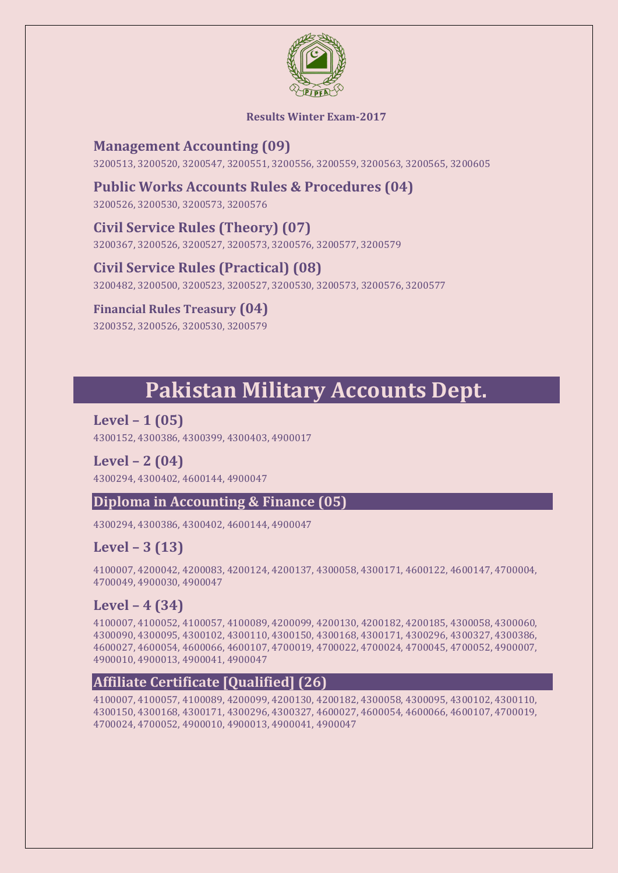

#### **Management Accounting (09)**

3200513, 3200520, 3200547, 3200551, 3200556, 3200559, 3200563, 3200565, 3200605

### **Public Works Accounts Rules & Procedures (04)**

3200526, 3200530, 3200573, 3200576

## **Civil Service Rules (Theory) (07)**

3200367, 3200526, 3200527, 3200573, 3200576, 3200577, 3200579

## **Civil Service Rules (Practical) (08)**

3200482, 3200500, 3200523, 3200527, 3200530, 3200573, 3200576, 3200577

#### **Financial Rules Treasury (04)**

3200352, 3200526, 3200530, 3200579

# **Pakistan Military Accounts Dept.**

**Level – 1 (05)** 4300152, 4300386, 4300399, 4300403, 4900017

**Level – 2 (04)** 4300294, 4300402, 4600144, 4900047

#### **Diploma in Accounting & Finance (05)**

4300294, 4300386, 4300402, 4600144, 4900047

# **Level – 3 (13)**

4100007, 4200042, 4200083, 4200124, 4200137, 4300058, 4300171, 4600122, 4600147, 4700004, 4700049, 4900030, 4900047

#### **Level – 4 (34)**

4100007, 4100052, 4100057, 4100089, 4200099, 4200130, 4200182, 4200185, 4300058, 4300060, 4300090, 4300095, 4300102, 4300110, 4300150, 4300168, 4300171, 4300296, 4300327, 4300386, 4600027, 4600054, 4600066, 4600107, 4700019, 4700022, 4700024, 4700045, 4700052, 4900007, 4900010, 4900013, 4900041, 4900047

#### **Affiliate Certificate [Qualified] (26)**

4100007, 4100057, 4100089, 4200099, 4200130, 4200182, 4300058, 4300095, 4300102, 4300110, 4300150, 4300168, 4300171, 4300296, 4300327, 4600027, 4600054, 4600066, 4600107, 4700019, 4700024, 4700052, 4900010, 4900013, 4900041, 4900047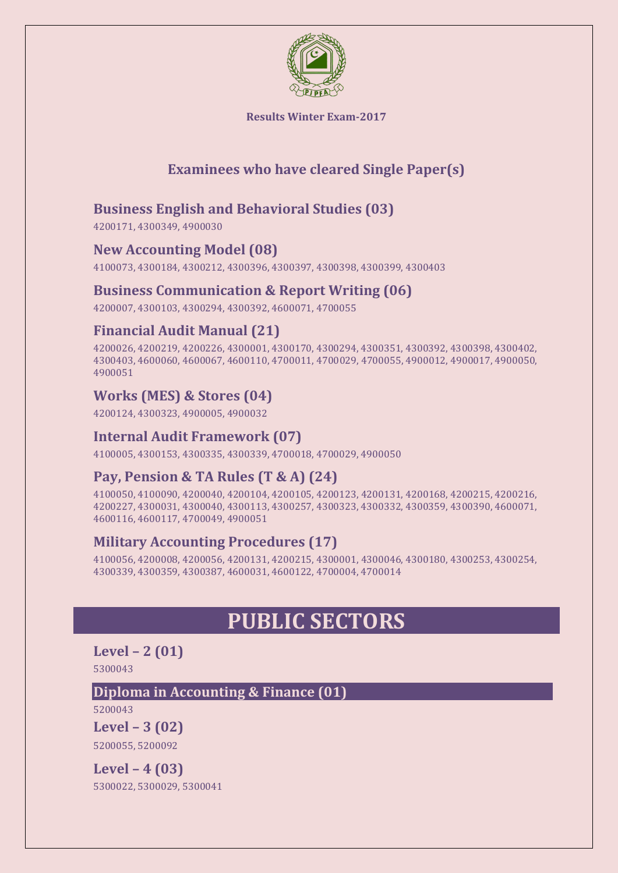

# **Examinees who have cleared Single Paper(s)**

## **Business English and Behavioral Studies (03)**

4200171, 4300349, 4900030

#### **New Accounting Model (08)**

4100073, 4300184, 4300212, 4300396, 4300397, 4300398, 4300399, 4300403

#### **Business Communication & Report Writing (06)**

4200007, 4300103, 4300294, 4300392, 4600071, 4700055

#### **Financial Audit Manual (21)**

4200026, 4200219, 4200226, 4300001, 4300170, 4300294, 4300351, 4300392, 4300398, 4300402, 4300403, 4600060, 4600067, 4600110, 4700011, 4700029, 4700055, 4900012, 4900017, 4900050, 4900051

#### **Works (MES) & Stores (04)**

4200124, 4300323, 4900005, 4900032

#### **Internal Audit Framework (07)**

4100005, 4300153, 4300335, 4300339, 4700018, 4700029, 4900050

# **Pay, Pension & TA Rules (T & A) (24)**

4100050, 4100090, 4200040, 4200104, 4200105, 4200123, 4200131, 4200168, 4200215, 4200216, 4200227, 4300031, 4300040, 4300113, 4300257, 4300323, 4300332, 4300359, 4300390, 4600071, 4600116, 4600117, 4700049, 4900051

#### **Military Accounting Procedures (17)**

4100056, 4200008, 4200056, 4200131, 4200215, 4300001, 4300046, 4300180, 4300253, 4300254, 4300339, 4300359, 4300387, 4600031, 4600122, 4700004, 4700014

# **PUBLIC SECTORS**

#### **Level – 2 (01)** 5300043

#### **Diploma in Accounting & Finance (01)**

5200043

**Level – 3 (02)**  5200055, 5200092

**Level – 4 (03)**  5300022, 5300029, 5300041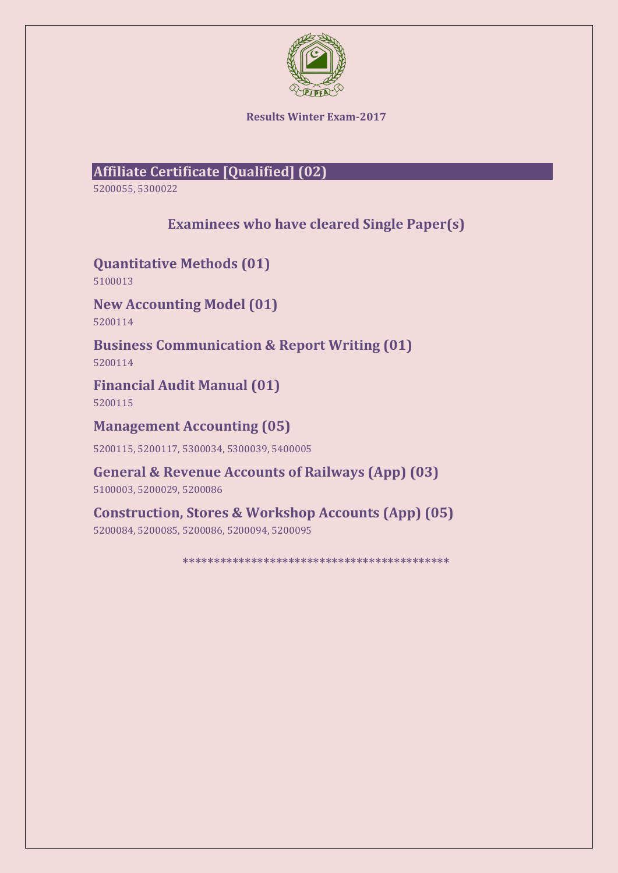

# **Affiliate Certificate [Qualified] (02)**

5200055, 5300022

**Examinees who have cleared Single Paper(s)**

**Quantitative Methods (01)** 5100013

**New Accounting Model (01)** 5200114

**Business Communication & Report Writing (01)** 5200114

**Financial Audit Manual (01)**

5200115

**Management Accounting (05)**

5200115, 5200117, 5300034, 5300039, 5400005

**General & Revenue Accounts of Railways (App) (03)**

5100003, 5200029, 5200086

**Construction, Stores & Workshop Accounts (App) (05)**

5200084, 5200085, 5200086, 5200094, 5200095

\*\*\*\*\*\*\*\*\*\*\*\*\*\*\*\*\*\*\*\*\*\*\*\*\*\*\*\*\*\*\*\*\*\*\*\*\*\*\*\*\*\*\*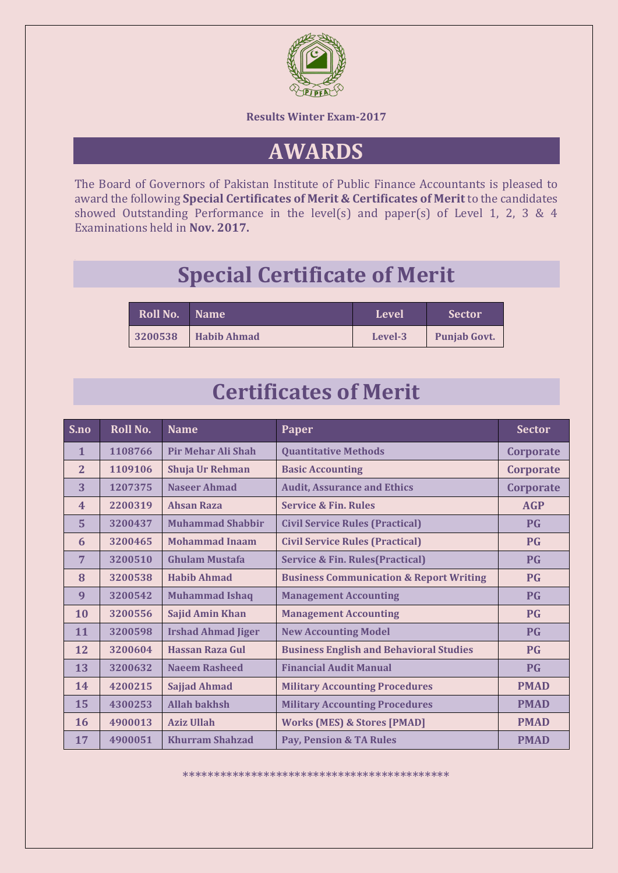

# **AWARDS**

The Board of Governors of Pakistan Institute of Public Finance Accountants is pleased to award the following **Special Certificates of Merit & Certificates of Merit** to the candidates showed Outstanding Performance in the level(s) and paper(s) of Level 1, 2, 3 & 4 Examinations held in **Nov. 2017.**

# **Special Certificate of Merit**

|  | Roll No. Name |                    | Level   | <b>Sector</b>       |
|--|---------------|--------------------|---------|---------------------|
|  | 3200538       | <b>Habib Ahmad</b> | Level-3 | <b>Punjab Govt.</b> |

# **Certificates of Merit**

| S.no                    | <b>Roll No.</b> | <b>Name</b>               | Paper                                              | <b>Sector</b>    |
|-------------------------|-----------------|---------------------------|----------------------------------------------------|------------------|
| $\mathbf{1}$            | 1108766         | Pir Mehar Ali Shah        | <b>Quantitative Methods</b>                        | Corporate        |
| $\overline{2}$          | 1109106         | Shuja Ur Rehman           | <b>Basic Accounting</b>                            | <b>Corporate</b> |
| 3                       | 1207375         | <b>Naseer Ahmad</b>       | <b>Audit, Assurance and Ethics</b>                 | Corporate        |
| $\overline{\mathbf{4}}$ | 2200319         | <b>Ahsan Raza</b>         | <b>Service &amp; Fin. Rules</b>                    | <b>AGP</b>       |
| 5                       | 3200437         | <b>Muhammad Shabbir</b>   | <b>Civil Service Rules (Practical)</b>             | <b>PG</b>        |
| 6                       | 3200465         | <b>Mohammad Inaam</b>     | <b>Civil Service Rules (Practical)</b>             | <b>PG</b>        |
| $\overline{7}$          | 3200510         | <b>Ghulam Mustafa</b>     | <b>Service &amp; Fin. Rules (Practical)</b>        | <b>PG</b>        |
| 8                       | 3200538         | <b>Habib Ahmad</b>        | <b>Business Communication &amp; Report Writing</b> | <b>PG</b>        |
| 9                       | 3200542         | <b>Muhammad Ishaq</b>     | <b>Management Accounting</b>                       | <b>PG</b>        |
| 10                      | 3200556         | <b>Sajid Amin Khan</b>    | <b>Management Accounting</b>                       | <b>PG</b>        |
| 11                      | 3200598         | <b>Irshad Ahmad Jiger</b> | <b>New Accounting Model</b>                        | <b>PG</b>        |
| 12                      | 3200604         | Hassan Raza Gul           | <b>Business English and Behavioral Studies</b>     | <b>PG</b>        |
| 13                      | 3200632         | <b>Naeem Rasheed</b>      | <b>Financial Audit Manual</b>                      | <b>PG</b>        |
| 14                      | 4200215         | <b>Sajjad Ahmad</b>       | <b>Military Accounting Procedures</b>              | <b>PMAD</b>      |
| 15                      | 4300253         | <b>Allah bakhsh</b>       | <b>Military Accounting Procedures</b>              | <b>PMAD</b>      |
| 16                      | 4900013         | <b>Aziz Ullah</b>         | <b>Works (MES) &amp; Stores [PMAD]</b>             | <b>PMAD</b>      |
| 17                      | 4900051         | <b>Khurram Shahzad</b>    | <b>Pay, Pension &amp; TA Rules</b>                 | <b>PMAD</b>      |

\*\*\*\*\*\*\*\*\*\*\*\*\*\*\*\*\*\*\*\*\*\*\*\*\*\*\*\*\*\*\*\*\*\*\*\*\*\*\*\*\*\*\*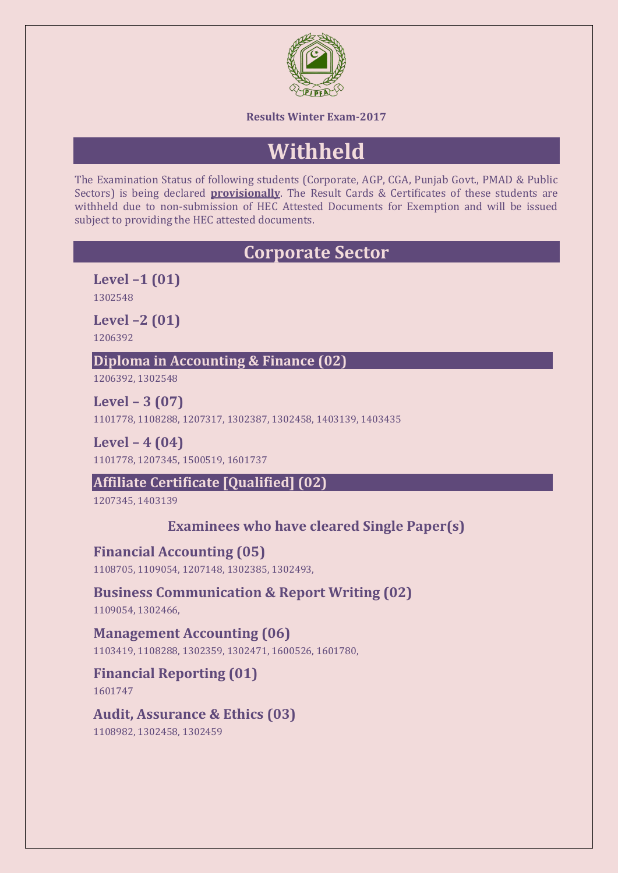

# **Withheld**

The Examination Status of following students (Corporate, AGP, CGA, Punjab Govt., PMAD & Public Sectors) is being declared **provisionally**. The Result Cards & Certificates of these students are withheld due to non-submission of HEC Attested Documents for Exemption and will be issued subject to providing the HEC attested documents.

# **Corporate Sector**

**Level –1 (01)** 1302548

**Level –2 (01)**

1206392

#### **Diploma in Accounting & Finance (02)**

1206392, 1302548

**Level – 3 (07)** 1101778, 1108288, 1207317, 1302387, 1302458, 1403139, 1403435

**Level – 4 (04)** 1101778, 1207345, 1500519, 1601737

# **Affiliate Certificate [Qualified] (02)**

1207345, 1403139

# **Examinees who have cleared Single Paper(s)**

#### **Financial Accounting (05)**

1108705, 1109054, 1207148, 1302385, 1302493,

#### **Business Communication & Report Writing (02)**

1109054, 1302466,

**Management Accounting (06)** 1103419, 1108288, 1302359, 1302471, 1600526, 1601780,

# **Financial Reporting (01)**

1601747

#### **Audit, Assurance & Ethics (03)** 1108982, 1302458, 1302459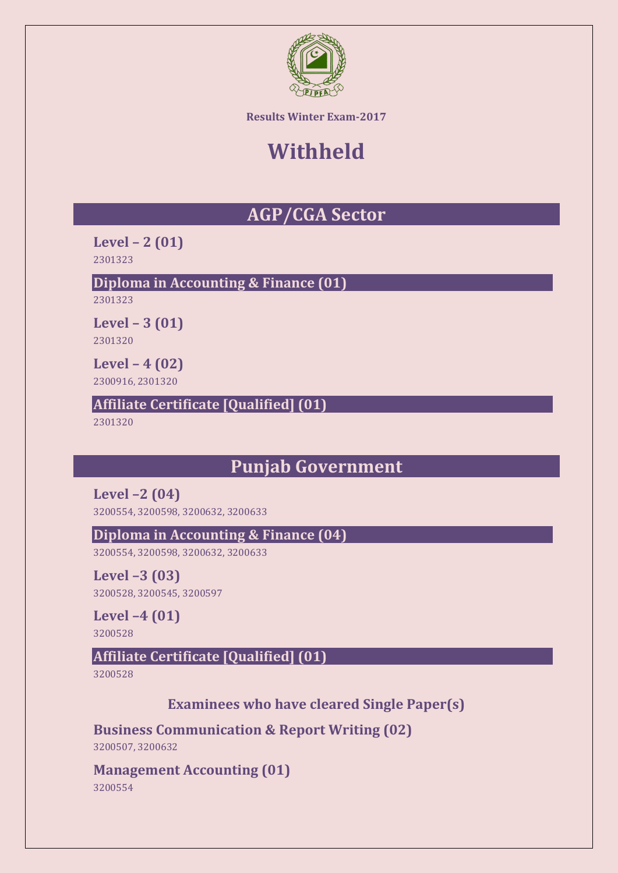

# **Withheld**

# **AGP/CGA Sector**

**Level – 2 (01)** 2301323

**Diploma in Accounting & Finance (01)**

2301323

**Level – 3 (01)** 2301320

**Level – 4 (02)**

2300916, 2301320

**Affiliate Certificate [Qualified] (01)** 

2301320

# **Punjab Government**

**Level –2 (04)**

3200554, 3200598, 3200632, 3200633

**Diploma in Accounting & Finance (04)**

3200554, 3200598, 3200632, 3200633

**Level –3 (03)** 3200528, 3200545, 3200597

**Level –4 (01)** 3200528

# **Affiliate Certificate [Qualified] (01)**

3200528

**Examinees who have cleared Single Paper(s)**

**Business Communication & Report Writing (02)**

3200507, 3200632

**Management Accounting (01)**

3200554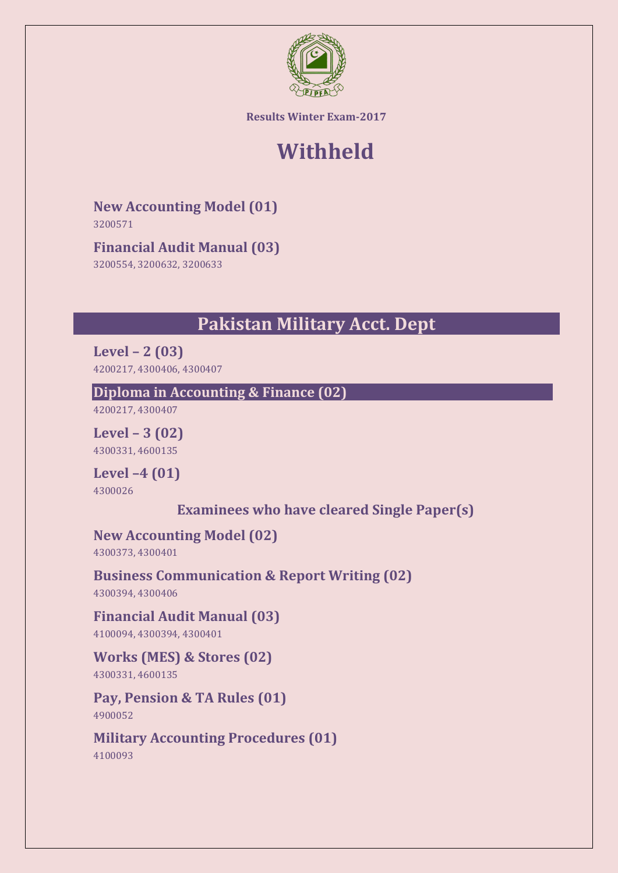

# **Withheld**

**New Accounting Model (01)**

3200571

# **Financial Audit Manual (03)**

3200554, 3200632, 3200633

# **Pakistan Military Acct. Dept**

**Level – 2 (03)** 4200217, 4300406, 4300407

## **Diploma in Accounting & Finance (02)**

4200217, 4300407

**Level – 3 (02)** 4300331, 4600135

**Level –4 (01)**

4300026

**Examinees who have cleared Single Paper(s)**

# **New Accounting Model (02)**

4300373, 4300401

# **Business Communication & Report Writing (02)**

4300394, 4300406

# **Financial Audit Manual (03)**

4100094, 4300394, 4300401

# **Works (MES) & Stores (02)**

4300331, 4600135

#### **Pay, Pension & TA Rules (01)** 4900052

**Military Accounting Procedures (01)** 4100093